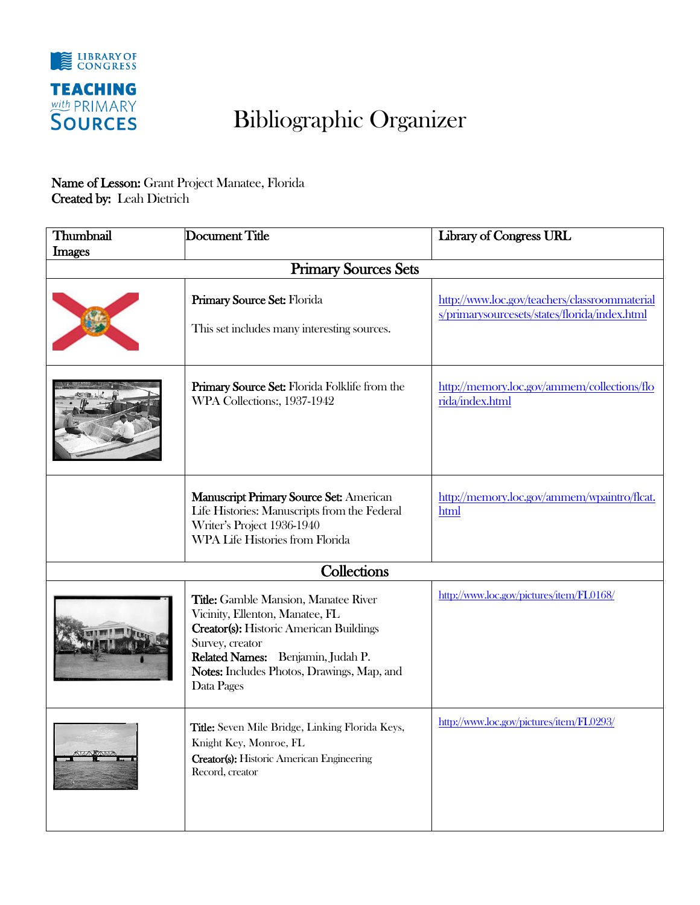

## Bibliographic Organizer

## Name of Lesson: Grant Project Manatee, Florida Created by: Leah Dietrich

| Thumbnail     | Document Title                                                                                                                                                                                                                                       | <b>Library of Congress URL</b>                                                                 |
|---------------|------------------------------------------------------------------------------------------------------------------------------------------------------------------------------------------------------------------------------------------------------|------------------------------------------------------------------------------------------------|
| <b>Images</b> | <b>Primary Sources Sets</b>                                                                                                                                                                                                                          |                                                                                                |
|               |                                                                                                                                                                                                                                                      |                                                                                                |
|               | Primary Source Set: Florida<br>This set includes many interesting sources.                                                                                                                                                                           | http://www.loc.gov/teachers/classroommaterial<br>s/primarysourcesets/states/florida/index.html |
|               | Primary Source Set: Florida Folklife from the<br>WPA Collections:, 1937-1942                                                                                                                                                                         | http://memory.loc.gov/ammem/collections/flo<br>rida/index.html                                 |
|               | <b>Manuscript Primary Source Set: American</b><br>Life Histories: Manuscripts from the Federal<br>Writer's Project 1936-1940<br>WPA Life Histories from Florida                                                                                      | http://memory.loc.gov/ammem/wpaintro/flcat.<br>html                                            |
|               | Collections                                                                                                                                                                                                                                          |                                                                                                |
|               | <b>Title:</b> Gamble Mansion, Manatee River<br>Vicinity, Ellenton, Manatee, FL<br><b>Creator(s): Historic American Buildings</b><br>Survey, creator<br>Related Names: Benjamin, Judah P.<br>Notes: Includes Photos, Drawings, Map, and<br>Data Pages | http://www.loc.gov/pictures/item/FL0168/                                                       |
|               | Title: Seven Mile Bridge, Linking Florida Keys,<br>Knight Key, Monroe, FL<br><b>Creator(s):</b> Historic American Engineering<br>Record, creator                                                                                                     | http://www.loc.gov/pictures/item/FL0293/                                                       |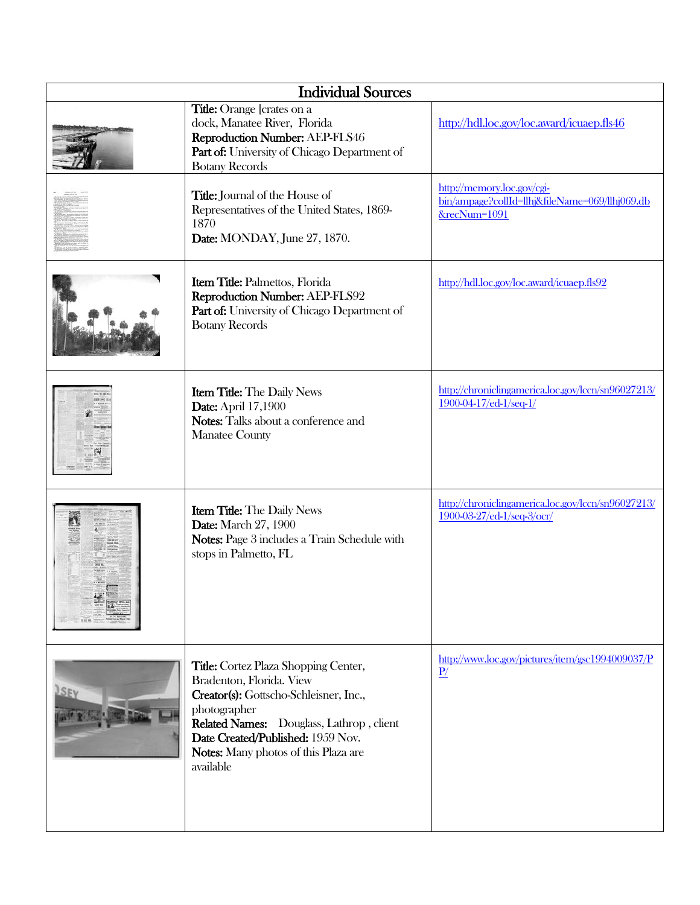| <b>Individual Sources</b> |                                                                                                                                                                                                                                                                         |                                                                                              |
|---------------------------|-------------------------------------------------------------------------------------------------------------------------------------------------------------------------------------------------------------------------------------------------------------------------|----------------------------------------------------------------------------------------------|
|                           | <b>Title:</b> Orange [crates on a<br>dock, Manatee River, Florida<br>Reproduction Number: AEP-FLS46<br>Part of: University of Chicago Department of<br><b>Botany Records</b>                                                                                            | http://hdl.loc.gov/loc.award/icuaep.fls46                                                    |
|                           | Title: Journal of the House of<br>Representatives of the United States, 1869-<br>1870<br>Date: MONDAY, June 27, 1870.                                                                                                                                                   | http://memory.loc.gov/cgi-<br>bin/ampage?collId=llhj&fileName=069/llhj069.db<br>&recNum=1091 |
|                           | Item Title: Palmettos, Florida<br>Reproduction Number: AEP-FLS92<br>Part of: University of Chicago Department of<br><b>Botany Records</b>                                                                                                                               | http://hdl.loc.gov/loc.award/icuaep.fls92                                                    |
|                           | <b>Item Title:</b> The Daily News<br><b>Date:</b> April 17,1900<br>Notes: Talks about a conference and<br><b>Manatee County</b>                                                                                                                                         | http://chroniclingamerica.loc.gov/lccn/sn96027213/<br>1900-04-17/ed-1/seq-1/                 |
|                           | <b>Item Title:</b> The Daily News<br><b>Date:</b> March 27, 1900<br>Notes: Page 3 includes a Train Schedule with<br>stops in Palmetto, FL                                                                                                                               | http://chroniclingamerica.loc.gov/lccn/sn96027213/<br>1900-03-27/ed-1/seq-3/ocr/             |
| SEV                       | <b>Title:</b> Cortez Plaza Shopping Center,<br>Bradenton, Florida. View<br>Creator(s): Gottscho-Schleisner, Inc.,<br>photographer<br>Related Names: Douglass, Lathrop, client<br>Date Created/Published: 1959 Nov.<br>Notes: Many photos of this Plaza are<br>available | http://www.loc.gov/pictures/item/gsc1994009037/P<br>$\underline{P}$                          |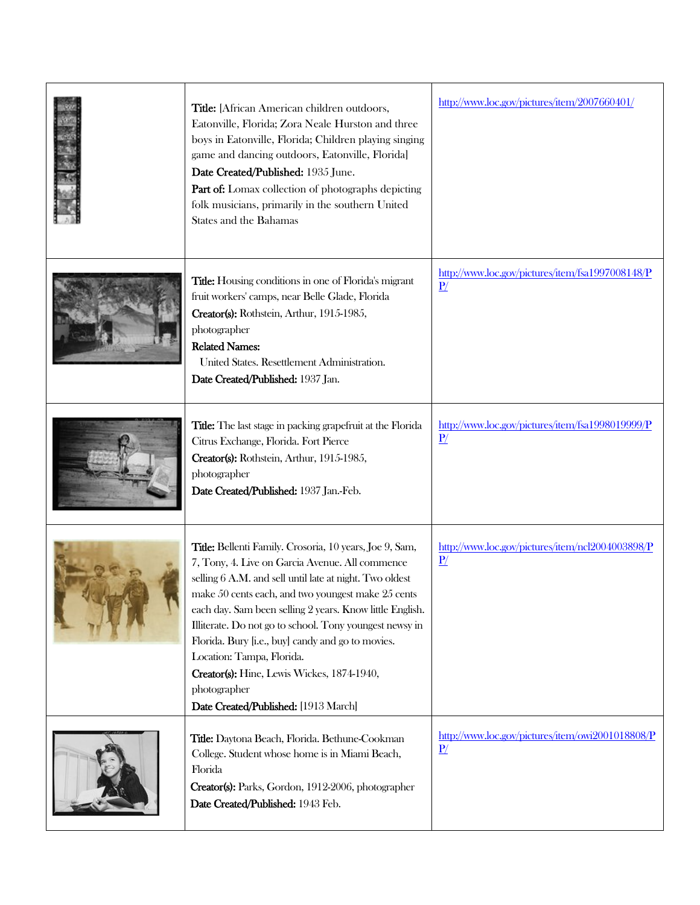| Title: [African American children outdoors,<br>Eatonville, Florida; Zora Neale Hurston and three<br>boys in Eatonville, Florida; Children playing singing<br>game and dancing outdoors, Eatonville, Florida]<br>Date Created/Published: 1935 June.<br>Part of: Lomax collection of photographs depicting<br>folk musicians, primarily in the southern United<br>States and the Bahamas                                                                                                                                                     | http://www.loc.gov/pictures/item/2007660401/                        |
|--------------------------------------------------------------------------------------------------------------------------------------------------------------------------------------------------------------------------------------------------------------------------------------------------------------------------------------------------------------------------------------------------------------------------------------------------------------------------------------------------------------------------------------------|---------------------------------------------------------------------|
| <b>Title:</b> Housing conditions in one of Florida's migrant<br>fruit workers' camps, near Belle Glade, Florida<br>Creator(s): Rothstein, Arthur, 1915-1985,<br>photographer<br><b>Related Names:</b><br>United States. Resettlement Administration.<br>Date Created/Published: 1937 Jan.                                                                                                                                                                                                                                                  | http://www.loc.gov/pictures/item/fsa1997008148/P<br>$\underline{P}$ |
| Title: The last stage in packing grapefruit at the Florida<br>Citrus Exchange, Florida. Fort Pierce<br>Creator(s): Rothstein, Arthur, 1915-1985,<br>photographer<br>Date Created/Published: 1937 Jan.-Feb.                                                                                                                                                                                                                                                                                                                                 | http://www.loc.gov/pictures/item/fsa1998019999/P<br>$\underline{P}$ |
| Title: Bellenti Family. Crosoria, 10 years, Joe 9, Sam,<br>7, Tony, 4. Live on Garcia Avenue. All commence<br>selling 6 A.M. and sell until late at night. Two oldest<br>make 50 cents each, and two youngest make 25 cents<br>each day. Sam been selling 2 years. Know little English.<br>Illiterate. Do not go to school. Tony youngest newsy in<br>Florida. Bury [i.e., buy] candy and go to movies.<br>Location: Tampa, Florida.<br>Creator(s): Hine, Lewis Wickes, 1874-1940,<br>photographer<br>Date Created/Published: [1913 March] | http://www.loc.gov/pictures/item/ncl2004003898/P<br>$\underline{P}$ |
| Title: Daytona Beach, Florida. Bethune-Cookman<br>College. Student whose home is in Miami Beach,<br>Florida<br>Creator(s): Parks, Gordon, 1912-2006, photographer<br>Date Created/Published: 1943 Feb.                                                                                                                                                                                                                                                                                                                                     | http://www.loc.gov/pictures/item/owi2001018808/P<br>$\underline{P}$ |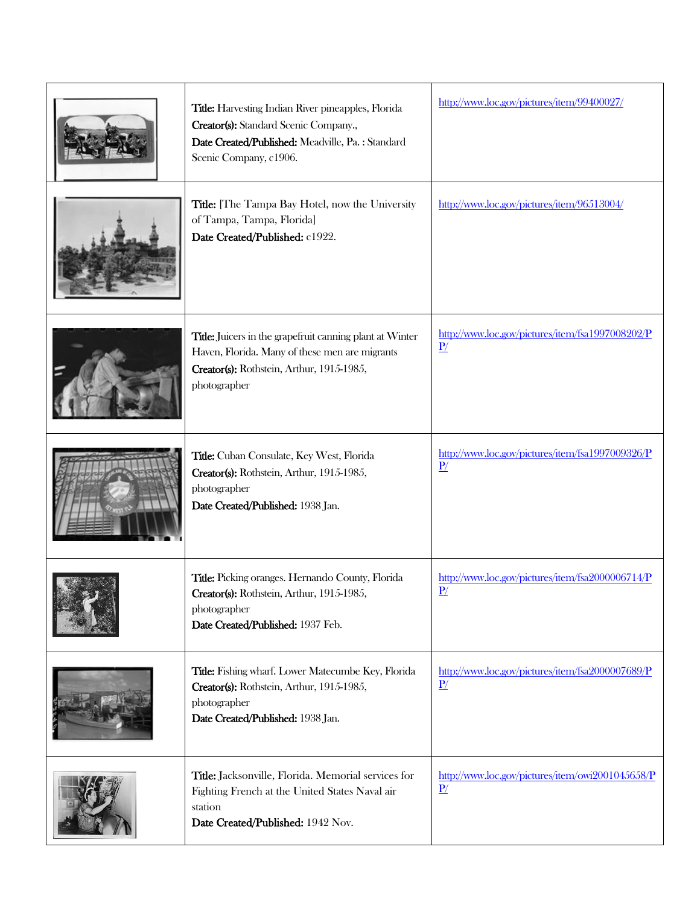| Title: Harvesting Indian River pineapples, Florida<br>Creator(s): Standard Scenic Company.,<br>Date Created/Published: Meadville, Pa.: Standard<br>Scenic Company, c1906. | http://www.loc.gov/pictures/item/99400027/                          |
|---------------------------------------------------------------------------------------------------------------------------------------------------------------------------|---------------------------------------------------------------------|
| Title: [The Tampa Bay Hotel, now the University<br>of Tampa, Tampa, Florida]<br>Date Created/Published: c1922.                                                            | http://www.loc.gov/pictures/item/96513004/                          |
| Title: Juicers in the grapefruit canning plant at Winter<br>Haven, Florida. Many of these men are migrants<br>Creator(s): Rothstein, Arthur, 1915-1985,<br>photographer   | http://www.loc.gov/pictures/item/fsa1997008202/P<br>$\mathbf{P}$ /  |
| Title: Cuban Consulate, Key West, Florida<br>Creator(s): Rothstein, Arthur, 1915-1985,<br>photographer<br>Date Created/Published: 1938 Jan.                               | http://www.loc.gov/pictures/item/fsa1997009326/P<br>$\underline{P}$ |
| Title: Picking oranges. Hernando County, Florida<br>Creator(s): Rothstein, Arthur, 1915-1985,<br>photographer<br>Date Created/Published: 1937 Feb.                        | http://www.loc.gov/pictures/item/fsa2000006714/P<br>P/              |
| Title: Fishing wharf. Lower Matecumbe Key, Florida<br>Creator(s): Rothstein, Arthur, 1915-1985,<br>photographer<br>Date Created/Published: 1938 Jan.                      | http://www.loc.gov/pictures/item/fsa2000007689/P<br>$\underline{P}$ |
| Title: Jacksonville, Florida. Memorial services for<br>Fighting French at the United States Naval air<br>station<br>Date Created/Published: 1942 Nov.                     | http://www.loc.gov/pictures/item/owi2001045658/P<br>$\underline{P}$ |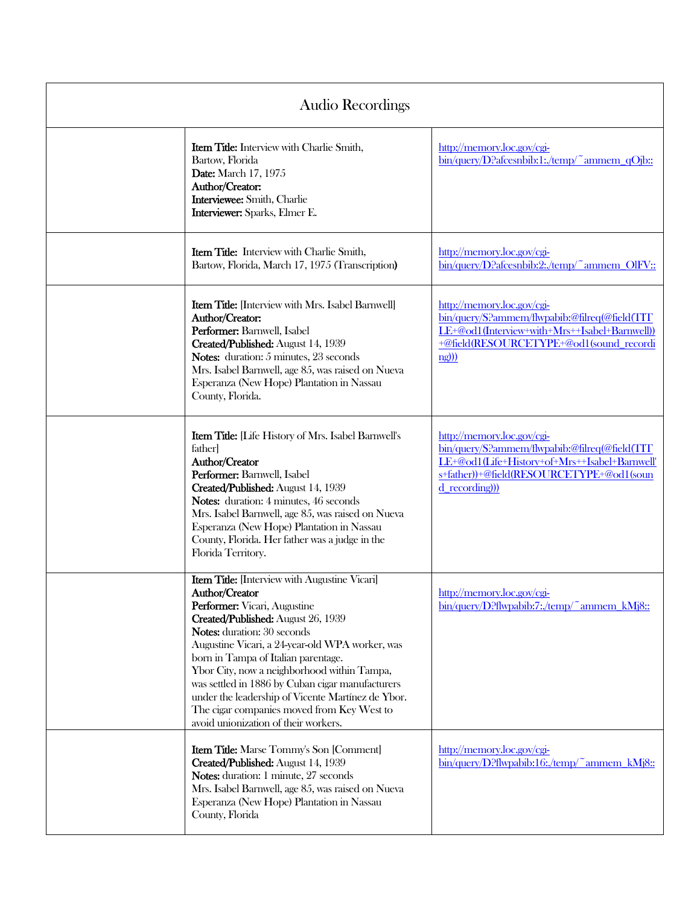| Audio Recordings |                                                                                                                                                                                                                                                                                                                                                                                                                                                                                                                     |                                                                                                                                                                                            |
|------------------|---------------------------------------------------------------------------------------------------------------------------------------------------------------------------------------------------------------------------------------------------------------------------------------------------------------------------------------------------------------------------------------------------------------------------------------------------------------------------------------------------------------------|--------------------------------------------------------------------------------------------------------------------------------------------------------------------------------------------|
|                  | <b>Item Title:</b> Interview with Charlie Smith,<br>Bartow, Florida<br><b>Date:</b> March 17, 1975<br>Author/Creator:<br>Interviewee: Smith, Charlie<br>Interviewer: Sparks, Elmer E.                                                                                                                                                                                                                                                                                                                               | http://memory.loc.gov/cgi-<br>$\frac{\text{bin/query}}{\text{D?}}$ afcesnbib:1:/temp/~ammem_qOjb::                                                                                         |
|                  | <b>Item Title:</b> Interview with Charlie Smith,<br>Bartow, Florida, March 17, 1975 (Transcription)                                                                                                                                                                                                                                                                                                                                                                                                                 | http://memory.loc.gov/cgi-<br>bin/query/D?afcesnbib:2:/temp/~ammem_OlFV::                                                                                                                  |
|                  | <b>Item Title:</b> [Interview with Mrs. Isabel Barnwell]<br>Author/Creator:<br>Performer: Barnwell, Isabel<br>Created/Published: August 14, 1939<br>Notes: duration: 5 minutes, 23 seconds<br>Mrs. Isabel Barnwell, age 85, was raised on Nueva<br>Esperanza (New Hope) Plantation in Nassau<br>County, Florida.                                                                                                                                                                                                    | http://memory.loc.gov/cgi-<br>bin/query/S?ammem/flwpabib:@filreq(@field(TIT)<br>LE+@od1(Interview+with+Mrs++Isabel+Barnwell))<br>+@field(RESOURCETYPE+@od1(sound_recordi<br>n(g))          |
|                  | <b>Item Title:</b> [Life History of Mrs. Isabel Barnwell's<br>father]<br>Author/Creator<br>Performer: Barnwell, Isabel<br>Created/Published: August 14, 1939<br>Notes: duration: 4 minutes, 46 seconds<br>Mrs. Isabel Barnwell, age 85, was raised on Nueva<br>Esperanza (New Hope) Plantation in Nassau<br>County, Florida. Her father was a judge in the<br>Florida Territory.                                                                                                                                    | http://memory.loc.gov/cgi-<br>bin/query/S?ammem/flwpabib:@filreq(@field(TIT)<br>LE+@od1(Life+History+of+Mrs++Isabel+Barnwell'<br>s+father))+@field(RESOURCETYPE+@od1(soun<br>d recording)) |
|                  | Item Title: [Interview with Augustine Vicari]<br>Author/Creator<br>Performer: Vicari, Augustine<br>Created/Published: August 26, 1939<br><b>Notes:</b> duration: 30 seconds<br>Augustine Vicari, a 24-year-old WPA worker, was<br>born in Tampa of Italian parentage.<br>Ybor City, now a neighborhood within Tampa,<br>was settled in 1886 by Cuban cigar manufacturers<br>under the leadership of Vicente Martínez de Ybor.<br>The cigar companies moved from Key West to<br>avoid unionization of their workers. | http://memory.loc.gov/cgi-<br>bin/query/D?flwpabib:7:/temp/~ammem_kMj8::                                                                                                                   |
|                  | <b>Item Title:</b> Marse Tommy's Son [Comment]<br>Created/Published: August 14, 1939<br>Notes: duration: 1 minute, 27 seconds<br>Mrs. Isabel Barnwell, age 85, was raised on Nueva<br>Esperanza (New Hope) Plantation in Nassau<br>County, Florida                                                                                                                                                                                                                                                                  | http://memory.loc.gov/cgi-<br>bin/query/D?flwpabib:16:/temp/~ammem_kMj8::                                                                                                                  |